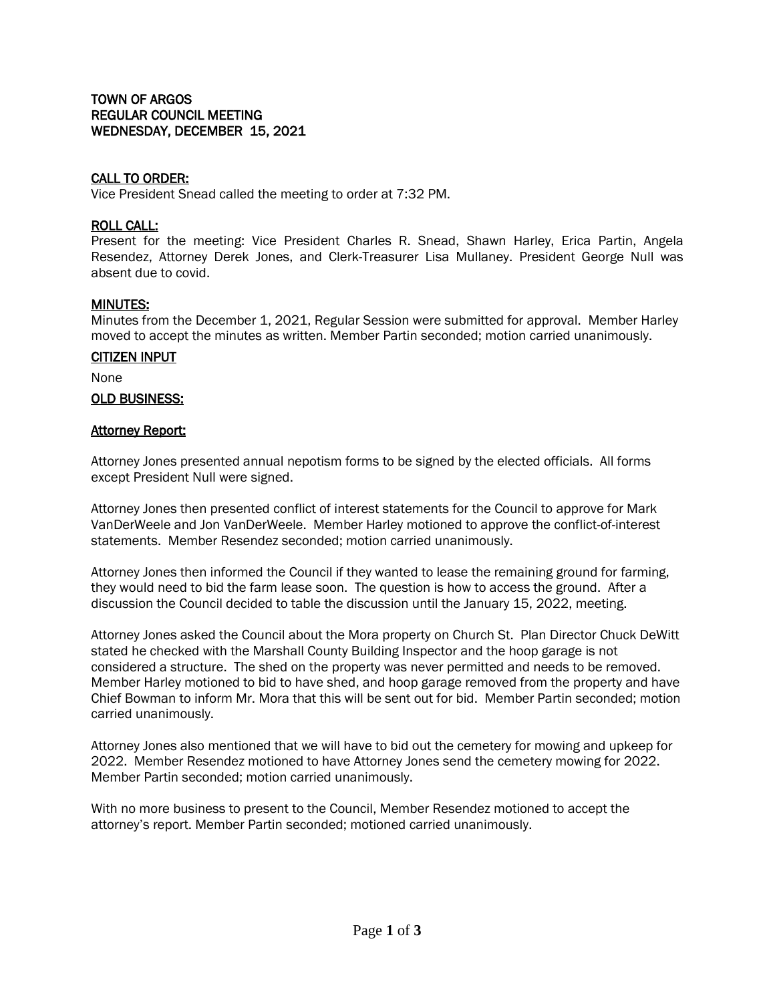# TOWN OF ARGOS REGULAR COUNCIL MEETING WEDNESDAY, DECEMBER 15, 2021

# CALL TO ORDER:

Vice President Snead called the meeting to order at 7:32 PM.

### ROLL CALL:

Present for the meeting: Vice President Charles R. Snead, Shawn Harley, Erica Partin, Angela Resendez, Attorney Derek Jones, and Clerk-Treasurer Lisa Mullaney. President George Null was absent due to covid.

# MINUTES:

Minutes from the December 1, 2021, Regular Session were submitted for approval. Member Harley moved to accept the minutes as written. Member Partin seconded; motion carried unanimously.

# CITIZEN INPUT

None

#### OLD BUSINESS:

#### **Attorney Report:**

Attorney Jones presented annual nepotism forms to be signed by the elected officials. All forms except President Null were signed.

Attorney Jones then presented conflict of interest statements for the Council to approve for Mark VanDerWeele and Jon VanDerWeele. Member Harley motioned to approve the conflict-of-interest statements. Member Resendez seconded; motion carried unanimously.

Attorney Jones then informed the Council if they wanted to lease the remaining ground for farming, they would need to bid the farm lease soon. The question is how to access the ground. After a discussion the Council decided to table the discussion until the January 15, 2022, meeting.

Attorney Jones asked the Council about the Mora property on Church St. Plan Director Chuck DeWitt stated he checked with the Marshall County Building Inspector and the hoop garage is not considered a structure. The shed on the property was never permitted and needs to be removed. Member Harley motioned to bid to have shed, and hoop garage removed from the property and have Chief Bowman to inform Mr. Mora that this will be sent out for bid. Member Partin seconded; motion carried unanimously.

Attorney Jones also mentioned that we will have to bid out the cemetery for mowing and upkeep for 2022. Member Resendez motioned to have Attorney Jones send the cemetery mowing for 2022. Member Partin seconded; motion carried unanimously.

With no more business to present to the Council, Member Resendez motioned to accept the attorney's report. Member Partin seconded; motioned carried unanimously.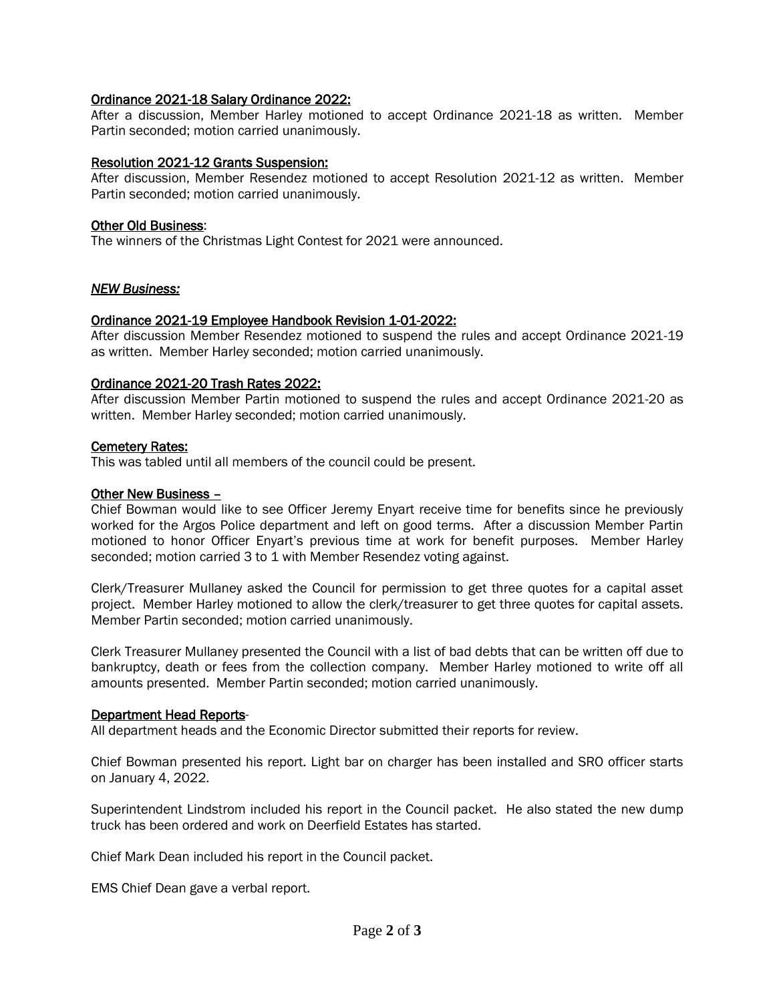# Ordinance 2021-18 Salary Ordinance 2022:

After a discussion, Member Harley motioned to accept Ordinance 2021-18 as written. Member Partin seconded; motion carried unanimously.

### Resolution 2021-12 Grants Suspension:

After discussion, Member Resendez motioned to accept Resolution 2021-12 as written. Member Partin seconded; motion carried unanimously.

### Other Old Business:

The winners of the Christmas Light Contest for 2021 were announced.

#### *NEW Business:*

#### Ordinance 2021-19 Employee Handbook Revision 1-01-2022:

After discussion Member Resendez motioned to suspend the rules and accept Ordinance 2021-19 as written. Member Harley seconded; motion carried unanimously.

#### Ordinance 2021-20 Trash Rates 2022:

After discussion Member Partin motioned to suspend the rules and accept Ordinance 2021-20 as written. Member Harley seconded; motion carried unanimously.

#### Cemetery Rates:

This was tabled until all members of the council could be present.

# Other New Business –

Chief Bowman would like to see Officer Jeremy Enyart receive time for benefits since he previously worked for the Argos Police department and left on good terms. After a discussion Member Partin motioned to honor Officer Enyart's previous time at work for benefit purposes. Member Harley seconded; motion carried 3 to 1 with Member Resendez voting against.

Clerk/Treasurer Mullaney asked the Council for permission to get three quotes for a capital asset project. Member Harley motioned to allow the clerk/treasurer to get three quotes for capital assets. Member Partin seconded; motion carried unanimously.

Clerk Treasurer Mullaney presented the Council with a list of bad debts that can be written off due to bankruptcy, death or fees from the collection company. Member Harley motioned to write off all amounts presented. Member Partin seconded; motion carried unanimously.

# Department Head Reports-

All department heads and the Economic Director submitted their reports for review.

Chief Bowman presented his report. Light bar on charger has been installed and SRO officer starts on January 4, 2022.

Superintendent Lindstrom included his report in the Council packet. He also stated the new dump truck has been ordered and work on Deerfield Estates has started.

Chief Mark Dean included his report in the Council packet.

EMS Chief Dean gave a verbal report.